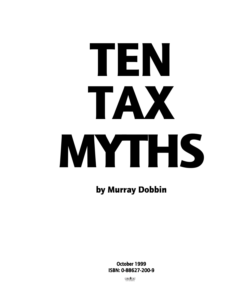# TAX MYTHS TEN

by Murray Dobbin

October 1999 ISBN: 0-88627-200-9

**CAW 567 OTTAWA**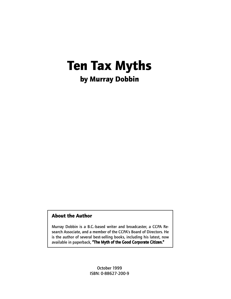# Ten Tax Myths by Murray Dobbin

# About the Author

Murray Dobbin is a B.C.-based writer and broadcaster, a CCPA Research Associate, and a member of the CCPA's Board of Directors. He is the author of several best-selling books, including his latest, now available in paperback, "The Myth of the Good Corporate Citizen."

> October 1999 ISBN: 0-88627-200-9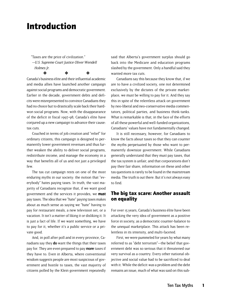# Introduction

"Taxes are the price of civilization." —U.S. Supreme Court Justice Oliver Wendell Holmes Jr. ❖ ❖ ❖

Canada's business élite and their influential academic and media allies have launched another campaign against social programs and democratic government. Earlier in the decade, government debts and deficits were misrepresented to convince Canadians they had no choice but to drastically scale back their hardwon social programs. Now, with the disappearance of the deficit in fiscal 1997-98, Canada's élite have conjured up a new campaign to advance their cause: tax cuts.

Couched in terms of job creation and "relief" for ordinary citizens, this campaign is designed to permanently lower government revenues and thus further weaken the ability to deliver social programs, redistribute income, and manage the economy in a way that benefits all of us and not just a privileged few.

The tax cut campaign rests on one of the most enduring myths in our society: the notion that "everybody" hates paying taxes. In truth, the vast majority of Canadians recognize that, if we want good government and the services it provides, we must pay taxes. The idea that we "hate" paying taxes makes about as much sense as saying we "hate" having to pay for restaurant meals, a new television set, or a vacation. It isn't a matter of liking it or disliking it. It is just a fact of life. If we want something, we have to pay for it, whether it's a public service or a private good.

And, in poll after poll and in every province, Canadians say they do want the things that their taxes pay for. They are even prepared to pay more taxes if they have to. Even in Alberta, where conventional wisdom suggests people are most suspicious of government and hostile to taxes, the vast majority of citizens polled by the Klein government repeatedly

said that Alberta's government surplus should go back into the Medicare and education programs slashed by the government. Only a handful said they wanted more tax cuts.

Canadians say this because they know that, if we are to have a civilized society, one not determined exclusively by the dictates of the private marketplace, we must be willing to pay for it. And they say this in spite of the relentless attack on government by neo-liberal and neo-conservative media commentators, political parties, and business think-tanks. What is remarkable is that, in the face of the efforts of all these powerful and well-funded organizations, Canadians' values have not fundamentally changed.

It is still necessary, however, for Canadians to know the facts about taxes so that they can counter the myths perpetuated by those who want to permanently downsize government. While Canadians generally understand that they must pay taxes, that the tax system is unfair, and that corporations don't pay their fair share, information on these and other tax questions is rarely to be found in the mainstream media. The truth is out there. But it's not always easy to find.

# The big tax scare: Another assault on equality

For over 15 years, Canada's business élite have been attacking the very idea of government as a positive force in society, as a democratic counter-balance to the unequal marketplace. This attack has been relentless in its intensity, and multi-faceted.

First, we were pummeled for years by what many referred to as "debt terrorism"—the belief that government debt was so serious that it threatened our very survival as a country. Every other national objective and social value had to be sacrificed to deal with it. While the deficit was a problem and the debt remains an issue, much of what was said on this sub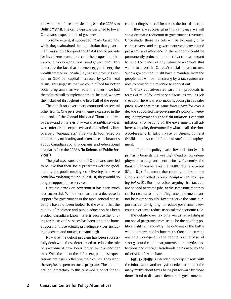ject was either false or misleading (see the CCPA's **10** Deficit Myths). The campaign was designed to lower Canadians' expectations of government.

To some extent, it succeeded. Many Canadians, while they maintained their conviction that government was a force for good and that it should provide for its citizens, came to accept the proposition that we could "no longer afford" good government. This is despite the fact that between 1979 and 1997 the wealth created in Canada (i.e., Gross Domestic Product, or GDP, per capita) increased by 50% in real terms. This suggests that we could afford far better social programs than we had in the 1970s if we had the political will to implement them. Instead, we saw them slashed throughout the first half of the 1990s.

The attack on government continued on several other fronts. One persistent theme expressed in the editorials of the Conrad Black and Thomson newspapers—and on television—was that public services were inferior, too expensive, and controlled by lazy, overpaid "bureaucrats." This attack, too, relied on deliberately misleading and often false declarations about Canadian social programs and educational standards (see the CCPA's "In Defence of Public Services").

The goal was transparent. If Canadians were led to believe that their social programs were no good, and that the public employees delivering them were somehow violating their public trust, they would no longer support those services.

Here the attack on government has been much less successful. While there has been a decrease in support for government in the most general sense, people have not been fooled. To the extent that the quality of Medicare and public education has been eroded, Canadians know that it is because the funding for these vital services has been cut to the bone. Support for those actually providing services, including teachers and nurses, remains high.

Now that the deficit problem has been successfully dealt with, those determined to reduce the role of government have been forced to take another tack. With the end of the deficit era, people's expectations are again reflecting their values. They want the surpluses spent on social programs. The neo-liberal counterattack to this renewed support for social spending is the call for across-the-board tax cuts.

If they are successful in this campaign, we will see a dramatic reduction in government revenues. Once made, these tax cuts will be extremely difficult to reverse and the government's capacity to fund programs and intervene in the economy could be permanently reduced. In effect, tax cuts are meant to bind the hands of any future government that wants to invest in Canada's social infrastructure. Such a government might have a mandate from the people, but will be hamstrung by a tax system unable to provide the revenue to carry it out.

The tax cut advocates cast their proposals in terms of relief for ordinary citizens, as well as job creation. There is an enormous hypocrisy in this sales pitch, given that these same forces have for over a decade supported the government's policy of keeping unemployment high to fight inflation. Even with inflation at or around 1%, the government still adheres to a policy determined by what it calls the Non-Accelerating Inflation Rate of Unemployment (NAIRU)—the so-called "natural rate" of unemployment.

In effect, this policy places low inflation (which primarily benefits the wealthy) ahead of low unemployment as a government priority. Currently, the Bank of Canada believes the NAIRU rate is between 8% and 8.5%. That means the economy and the money supply is controlled to keep unemployment from going below 8%. Business voices arguing that tax cuts are needed to create jobs, at the same time that they call for near-zero inflation/high unemployment, cannot be taken seriously. Tax cuts serve the same purpose as deficit-fighting: to reduce government revenues in order to reduce its social and economic role.

The debate over tax cuts versus reinvesting in our social programs promises to be the next big political fight in this country. The outcome of this battle will be determined by how many Canadian citizens are able to engage in the debate on the basis of strong, sound counter-arguments to the myths, distortions and outright falsehoods being used by the other side of the debate.

Ten Tax Myths is intended to equip citizens with the information and analysis needed to debunk the many myths about taxes being put forward by those determined to dismantle democratic government.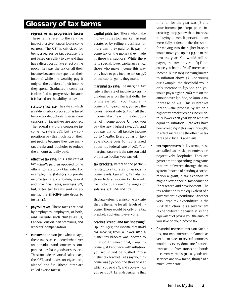# **Glossary of tax terms**

- regressive vs. progressive taxes: These terms refer to the relative impact of a given tax on low-income earners. The GST is criticized for being a regressive tax because it is not based on ability to pay and thus has a disproportionate effect on the poor. They pay the tax on all their income (because they spend all their income) while the wealthy pay it only on the portion of their income they spend. Graduated income tax is classified as progressive because it is based on the ability to pay.
- statutory tax rate: The rate at which an individual or corporation is taxed before tax deductions, special concessions or incentives are applied. The federal statutory corporate income tax rate is 28%, but few corporations pay this much tax on their net profits because they use many tax breaks and loopholes to reduce the amount actually paid.
- **effective tax rate:** This is the rate of tax actually paid, as opposed to the official (or statutory) tax rate. For example, the **statutory** corporate income tax rate, combining federal and provincial rates, averages 42%, but, after tax breaks and deferments, the **effective** rate drops to just 27.4%.
- payroll taxes: These taxes are paid by employees, employers, or both, and include such things as UI, Canada Pension Plan premiums, and workers' compensation.
- consumption tax: Just what it says, these taxes are collected whenever an individual (and sometimes companies) purchase goods or services. These include provincial sales taxes, the GST, and taxes on cigarettes, alcohol and fuel (these latter are called excise taxes).
- capital gains tax: Those who make money in the stock market, in real estate, or by selling a business for more than they paid for it, pay income tax on the money they made in these transactions. While there is no special, lower capital gains tax, those who make income this way only have to pay income tax on 75% of the capital gains they make.
- **marginal tax rate:** The marginal tax rate is the rate of income tax an individual pays on the last dollar he or she earned. If your taxable income is \$29,590 or less, you pay the lowest federal rate (17%) on all that income. Starting with the next dollar of income above \$29,590, you pay the next highest rate, 26%, and you pay that on all taxable income up to \$59,180. Every dollar of taxable income over \$59,180 is taxed at the top federal rate of 29%. Your marginal tax rate is the rate you paid on the last dollar you earned.
- tax brackets: Refers to the particular statutory tax rates for various income levels. Currently, Canada has three federal income tax brackets for individuals earning wages or salaries: 17%, 26% and 29%.
- flat tax: Refers to an income tax rate that is the same for all levels of income. There would be only one tax bracket, applying to everyone.
- bracket "creep" and tax "indexing": Up until 1985, the income threshold for moving from a lower into a higher tax bracket was indexed to inflation. This meant that, if your income just kept pace with inflation, you would not be pushed into a higher tax bracket. Let's say your income was \$30,000, the threshold at which you paid 15%, and above which you paid 20%. Let's also assume that

inflation for the year was 5% and your income just kept pace—increasing to \$31,500 with no increase in buying power. If personal taxes were fully indexed, the threshold for moving into the higher bracket would move you up to \$31,500 in the next tax year. You would still be paying the same tax rate (15%) because you had no "real" increase in income. But in 1985 indexing limited to inflation above 3%. Continuing our example, the threshold would only increase to \$30,600 and you would pay a higher (20%) rate on the amount over \$30,600, or \$900: a tax increase of \$45. This is bracket "creep"—the process by which a higher tax bracket creeps incrementally lower each year by an amount equal to inflation. Brackets have been creeping in this way since 1985, in effect increasing the effective tax rates paid by all Canadians.

- tax expenditures: In lay terms, these are called tax breaks, incentives, or, pejoratively, loopholes. They are government spending programs that are delivered through the tax system. Instead of handing a corporation a grant, a tax expenditure might allow a special tax deduction for research and development. The tax reduction is the equivalent of a government expenditure. Another very large tax expenditure is the RRSP deduction. It is a government "expenditure" because it is the equivalent of paying you the amount you save on your income tax.
- financial transactions tax: Such a tax, not implemented in Canada as yet but in place in several countries, would tax every domestic financial transaction from stocks and bonds to currency trades, just as goods and services are now taxed, though at a much lower rate.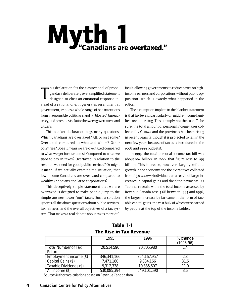# Myth 1<br>"Canadians are overtaxed."

T his declaration fits the classicmodel of propaganda: a deliberately oversimplified statement designed to elicit an emotional response instead of a rational one. It generates resentment at government, implies a whole range of bad intentions from irresponsible politicians and a "bloated" bureaucracy, and promotes isolation between government and citizens.

This blanket declaration begs many questions. Which Canadians are overtaxed? All, or just some? Overtaxed compared to what and whom? Other countries? Does it mean we are overtaxed compared to what we get for our taxes? Compared to what we used to pay in taxes? Overtaxed in relation to the revenue we need for good public services? Or might it mean, if we actually examine the situation, that low-income Canadians are overtaxed compared to wealthy Canadians and large corporations?

This deceptively simple statement that we are overtaxed is designed to make people jump to the simple answer: lower "our" taxes. Such a solution ignores all the above questions about public services, tax fairness, and the overall objectives of a tax system. That makes a real debate about taxes more dif-

ficult, allowing governments to reduce taxes on highincome earners and corporations without public opposition—which is exactly what happened in the 1980s.

The assumption implicit in the blanket statement is that tax levels, particularly on middle-income families, are still rising. This is simply not the case. To be sure, the total amount of personal income taxes collected by Ottawa and the provinces has been rising in recent years (although it is projected to fall in the next few years because of tax cuts introduced in the 1998 and 1999 budgets).

In 1995, the total personal income tax bill was about \$94 billion. In 1996, that figure rose to \$99 billion. This increase, however, largely reflects growth in the economy and the extra taxes collected from high-income individuals as a result of large increases in capital gains and dividend payments. As Table 1.1 reveals, while the total income assessed by Revenue Canada rose 3.6% between 1995 and 1996, the largest increase by far came in the form of taxable capital gains, the vast bulk of which were earned by people at the top of the income ladder.

# Table 1-1 The Rise in Tax Revenue

|                            | 1995        | 1996          | % change<br>$(1993-96)$ |
|----------------------------|-------------|---------------|-------------------------|
| <b>Total Number of Tax</b> | 20,514,590  | 20,805,980    | 1.4                     |
| Returns                    |             |               |                         |
| Employment income (\$)     | 346,341,166 | 354, 167, 957 | 2.3                     |
| Capital Gains (\$)         | 7,471,180   | 9,834,166     | 31.6                    |
| Taxable Dividends (\$)     | 9,312,338   | 10,335,607    | 11.0                    |
| All Income (\$)            | 530,085,394 | 549,101,590   | 3.6                     |

*Source: Author's calculations based on Revenue Canada data.*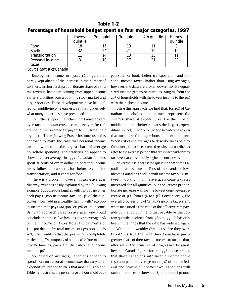|                          | Lowest<br>quintile |    | $\sqrt{2}$ nd quintile $\sqrt{3}$ rd quintile | 4th quintile | Highest<br>quintile |
|--------------------------|--------------------|----|-----------------------------------------------|--------------|---------------------|
| Food                     | 18                 | 15 |                                               |              |                     |
| <b>Shelter</b>           | 32                 | 24 |                                               | 10           |                     |
| Transportation           |                    | 14 |                                               | 13           |                     |
| Personal income<br>taxes |                    | 10 |                                               | 21           | 30                  |

### Table 1-2 Percentage of household budget spent on four major categories, 1997

*Source: Statistics Canada*

Employment income rose just 2.3%, a figure that barely kept ahead of the increase in the number of tax filers. In short, a disproportionate share of extra tax revenue has been coming from upper-income earners profiting from a booming stock market and larger bonuses. These developments have little effect on middle-income earners, yet that is precisely what many tax critics have presumed.

To further support their claim that Canadians are over-taxed, anti-tax crusaders routinely make reference to the "average taxpayer" to illustrate their argument. The right-wing Fraser Institute uses this approach to make the case that personal income taxes now make up the largest share of average household spending. And statistics do appear to show that, on average in 1997, Canadian families spent 21 cents of every dollar on personal income taxes, followed by 20 cents for shelter, 12 cents for transportation, and 11 cents for food.

There is a problem, however, in using averages this way, which is easily explained by the following example. Suppose four families with \$30,000 incomes each pay \$4,500 in income tax—or 15% of their incomes. Now, add in a wealthy family with \$250,000 in income that pays \$92,500, or 37% of its income. Using an approach based on averages, one would conclude that these five families pay an average 30% of their income on taxes (total tax payments of \$110,500 divided by total income of \$370,000 equals 30%). The trouble is that the 30% figure is completely misleading. The majority of people (the four middleincome families) pay 15% of their income in income tax, not 30%.

So, based on averages, Canadians appear to spend more on personal income taxes than any other expenditure, but the truth is that most of us do not. Table 1.2 illustrates the percentage of household bud-

gets spent on food, shelter, transportation, and personal income taxes. Rather than using averages, however, the data are broken down into five equalsized income groups or quintiles, ranging from the 20% of households with the lowest income to the 20% with the highest income.

Using this approach, we find that, for 40% of Canadian households, income taxes represent the smallest share of expenditures. For the third or middle quintile, shelter remains the largest expenditure. In fact, it is only for the top two income groups that taxes are the major household expenditure. When critics use averages to describe taxes paid by Canadians, it produces skewed results that ascribe tax rates to the average person that are in fact paid only by taxpayers at considerably higher income levels.

Nevertheless, there is no question that some Canadians are overtaxed. Tens of thousands of lowincome Canadians end up with income tax bills. Between 1980 and 1990, the average income tax rates increased for all quintiles, but the largest proportionate increase was for the lowest quintile—an increase of 43% (from 2.3% to 3.3%). Consequently, the overall progressivity of Canada's income tax system, when measured as the ratio of the effective rate payable by the top quintile to that payable by the bottom quintile, declined from 1980 to 1990. It has only been in the 1990s that the ratio has widened again.

What about wealthy Canadians? Are they overtaxed? It's true that wealthier Canadians pay a greater share of their taxable income in taxes—that, after all, is the principle of progressive taxation. Revenue Canada figures for the 1996 tax year show that those Canadians with taxable income above \$250,000 paid on average about 37% of that in federal and provincial income taxes. Canadians with taxable incomes of between \$30,000 and \$40,000,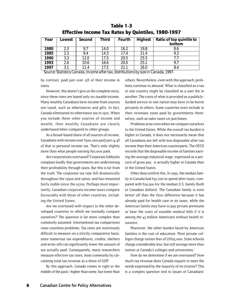| Year | Lowest | Second | <b>Third</b> | Fourth | <b>Highest</b> | Ratio of top quintile to<br>bottom                                                          |
|------|--------|--------|--------------|--------|----------------|---------------------------------------------------------------------------------------------|
| 1980 | 2.3    | 9.7    | 14.0         | 16.2   | 19.8           | 8.6                                                                                         |
| 1985 | 2.3    | 9.4    | 14.3         | 17.4   | 21.4           | 9.3                                                                                         |
| 1990 | 3.3    | 12.0   | 17.5         | 20.5   | 25.5           | 7.7                                                                                         |
| 1993 | 2.6    | 10.6   | 16.6         | 20.0   | 25.1           | 9.7                                                                                         |
| 1997 | 3.1    | 11.4   | 17.5         | 21.1   | 26.0           | 8.4<br>Course Chatteries Concede Income of Chaterian distributions business in Concede 1007 |

### Table 1-3 Effective Income Tax Rates by Quintiles, 1980-1997

*Source: Statistics Canada, Income after tax, distributions by size in Canada, 1997.*

by contrast, paid just over 15% of their income in taxes.

However, this doesn't give us the complete story, since these rates are based only on taxable income. Many wealthy Canadians have income from sources not taxed, such as inheritances and gifts. In fact, Canada eliminated its inheritance tax in 1970. When you include these other sources of income and wealth, then wealthy Canadians are clearly undertaxed when compared to other groups.

As a broad-based share of all sources of income, Canadians with income over \$300,000 paid just 14.4% of that in personal income tax. That's only slightly more than what people earning \$50,000 paid.

Are corporations overtaxed? Corporate lobbyists complain loudly that governments are undermining their profitability through taxes. But this is far from the truth. The corporate tax rate fell dramatically throughout the 1950s and 1960s, and has remained fairly stable since the 1970s. Perhaps most importantly, Canadian corporate income taxes compare favourably with those of other countries, including the United States.

Are we overtaxed with respect to the other developed countries to which we normally compare ourselves? The question is far more complex than commonly assumed. International tax comparisons raise countless problems. Tax rates are notoriously difficult to measure on a strictly comparative basis, since numerous tax expenditures, credits, shelters and write-offs can significantly lower the amount of tax actually paid. Consequently, many researchers measure effective tax rates, most commonly by calculating total tax revenue as a share of GDP.

By this approach, Canada comes in right in the middle of the pack—higher than some, but lower than others. Nevertheless, even with this approach, problems continue to abound. What is classified as a tax in one country might be classified as a user fee in another. The costs of what is provided as a publiclyfunded service in one nation may have to be borne privately in others. Some countries even include in their revenues taxes paid by governments themselves, such as sales taxes on purchases.

Problems arise even when we compare ourselves to the United States. While the overall tax burden is higher in Canada, it does not necessarily mean that all Canadians are left with less disposable after-tax income than their American counterparts. The OECD records that the disposable income of families earning the average industrial wage, expressed as a percent of gross pay, is actually higher in Canada than in the United States.

Other data confirm this. In 1995, the median family in Canada had \$30,200 to spend after taxes, compared with \$29,500 for the median U.S. family (both in Canadian dollars). The Canadian family is even better off than the \$700 difference because it has already paid for health care in its taxes, while the American family may have to pay private premiums or bear the costs of sizeable medical bills if it is among the 43 million Americans without health insurance.

Moreover, the other burden faced by American families is the cost of education. Most private colleges charge tuition fees of US\$25,000. State schools charge considerably less, but still average more than tuition at Canada's colleges and universities.<sup>1</sup>

How do we determine if we are overtaxed? How much tax revenue does Canada require to meet the needs expressed by the majority of its citizens? This is a complex question tied to issues of Canadians'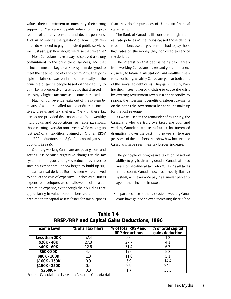values, their commitment to community, their strong support for Medicare and public education, the protection of the environment, and decent pensions. And, in answering the question of how much revenue do we need to pay for desired public services, we must ask: just how should we raise that revenue?

Most Canadians have always displayed a strong commitment to the principle of fairness, and that principle must be key to any tax system designed to meet the needs of society and community. That principle of fairness was enshrined historically in the principle of taxing people based on their ability to pay—i.e., a progressive tax schedule that charged increasingly higher tax rates as income increased.

Much of our revenue leaks out of the system by means of what are called tax expenditures—incentives, breaks and tax shelters. Many of these tax breaks are provided disproportionately to wealthy individuals and corporations. As Table 1.4 shows, those earning over \$80,000 a year, while making up just 2.9% of all tax-filers, claimed 21.5% of all RRSP and RPP deductions and 83% of all capital gains deductions in 1996.

Ordinary working Canadians are paying more and getting less because regressive changes in the tax system in the 1970s and 1980s reduced revenues to such an extent that Canada began to build up significant annual deficits. Businessmen were allowed to deduct the cost of expensive lunches as business expenses; developers are still allowed to claim a depreciation expense, even though their buildings are appreciating in value; corporations are able to depreciate their capital assets faster for tax purposes than they do for purposes of their own financial statements.

The Bank of Canada's ill-considered high interest rate policies in the 1980s caused those deficits to balloon because the government had to pay those high rates on the money they borrowed to service the deficits.

The interest on that debt is being paid largely from working Canadians' taxes and goes almost exclusively to financial institutions and wealthy investors. Ironically, wealthy Canadians gain at both ends of this so-called debt crisis. They gain, first, by having their taxes lowered (helping to cause the crisis by lowering government revenues) and secondly, by reaping the investment benefits of interest payments on the bonds the government had to sell to make up for the lost revenue.

As we will see in the remainder of this study, the Canadians who are truly overtaxed are poor and working Canadians whose tax burden has increased dramatically over the past 15 to 20 years. Here are just some of the numbers that show how low-income Canadians have seen their tax burden increase.

- The principle of progressive taxation based on ability to pay is virtually dead in Canada after 20 years of neo-liberal tax reform. Taking all taxes into account, Canada now has a nearly flat tax system, with everyone paying a similar percentage of their income in taxes.
- In part because of the tax system, wealthy Canadians have gained an ever-increasing share of the

| Income Level  | % of all tax filers | % of total RRSP and<br><b>RPP deductions</b> | % of total capital<br>gains deduction |
|---------------|---------------------|----------------------------------------------|---------------------------------------|
| Less than 20K | 52.4                | 5.6                                          | 1.2                                   |
| \$20K - 40K   | 27.8                | 27.7                                         | 4.1                                   |
| \$40K - 60K   | 12.6                | 31.4                                         |                                       |
| \$60K-80K     | 4.4                 | 17.6                                         | 5.3                                   |
| \$80K - 100K  | 1.3                 | 11.0                                         | 5.1                                   |
| \$100K - 150K | 0.9                 | 5.9                                          | 14.4                                  |
| \$150K - 250K | 0.4                 | 29                                           | 24.9                                  |
| $$250K +$     | 0.3                 |                                              | 38.5                                  |

# Table 1.4 RRSP/RRP and Capital Gains Deductions, 1996

*Source: Calculations based on Revenue Canada data.*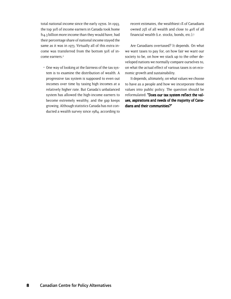total national income since the early 1970s. In 1993, the top 30% of income earners in Canada took home \$14.3 billion more income than they would have, had their percentage share of national income stayed the same as it was in 1973. Virtually all of this extra income was transferred from the bottom 50% of income earners.<sup>2</sup>

 • One way of looking at the fairness of the tax system is to examine the distribution of wealth. A progressive tax system is supposed to even out incomes over time by taxing high incomes at a relatively higher rate. But Canada's unbalanced system has allowed the high-income earners to become extremely wealthy, and the gap keeps growing. Although statistics Canada has not conducted a wealth survey since 1984, according to

recent estimates, the wealthiest 1% of Canadians owned 25% of all wealth and close to 40% of all financial wealth (i.e. stocks, bonds, etc.).3

Are Canadians overtaxed? It depends. On what we want taxes to pay for, on how fair we want our society to be, on how we stack up to the other developed nations we normally compare ourselves to, on what the actual effect of various taxes is on economic growth and sustainability.

It depends, ultimately, on what values we choose to have as a people and how we incorporate those values into public policy. The question should be reformulated: "Does our tax system reflect the values, aspirations and needs of the majority of Cana- ues, aspirations and needs of Canadians and their communities?"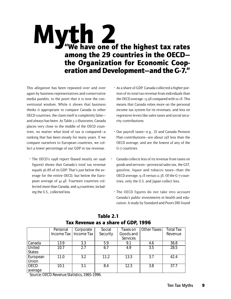# Myth 2<br>"We have one of the highest tax rates among the 29 countries in the OECD the Organization for Economic Cooperation and Development—and the G-7."

This allegation has been repeated over and over again by business representatives and conservative media pundits, to the point that it is now the conventional wisdom. While it shows that business thinks it appropriate to compare Canada to other OECD countries, the claim itself is completely false and always has been. As Table 2.2 illustrates, Canada places very close to the middle of the OECD countries, no matter what kind of tax is compared—a ranking that has been steady for many years. If we compare ourselves to European countries, we collect a lower percentage of our GDP in tax revenue.

 • The OECD's 1998 report (based mostly on 1996 figures) shows that Canada's total tax revenue equals 36.8% of its GDP. That's just below the average for the entire OECD, but below the European average of 42.4%. Fourteen countries collected more than Canada, and 14 countries, including the U.S., collected less.

- As a share of GDP, Canada collected a higher portion of its total tax revenue from individuals than the OECD average: 13.9% compared with 10.1%. This means that Canada relies more on the personal income tax system for its revenues, and less on regressive levies like sales taxes and social security contributions.
- Our payroll taxes—e.g., UI and Canada Pension Plan contributions—are about 25% less than the OECD average, and are the lowest of any of the G-7 countries.
- Canada collects less of its revenue from taxes on goods and services—provincial sales tax, the GST, gasoline, liquor and tobacco taxes—than the OECD average, 9.1% versus 12.3%. Of the G-7 countries, only the U.S. and Japan collect less.
- The OECD figures do not take into account Canada's public investments in health and education. A study by Standard and Poors DRI found

| Personal | Corporate | Social                  | Taxes on  | <b>Other Taxes</b> | <b>Total Tax</b> |
|----------|-----------|-------------------------|-----------|--------------------|------------------|
|          |           | Security                | Goods and |                    | Revenue          |
|          |           |                         | Services  |                    |                  |
| 13.9     | 3.3       | 5.9                     | 9.1       | 4.6                | 36.8             |
| 10.7     | 2.7       | 6.7                     | 4.9       | 3.5                | 28.5             |
|          |           |                         |           |                    |                  |
| 11.0     | 3.2       | 11.2                    | 13.3      | 3.7                | 42.4             |
|          |           |                         |           |                    |                  |
| 10.1     | 3.1       | 8.4                     | 12.3      | 3.8                | 37.7             |
|          |           |                         |           |                    |                  |
|          |           | Income Tax   Income Tax |           |                    |                  |

### Table 2.1 Tax Revenue as a share of GDP, 1996

*Source: OECD Revenue Statistics, 1965-1996.*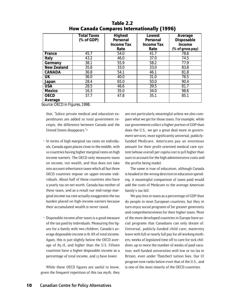|                                                                                     | <b>Total Taxes</b><br>(% of GDP) | <b>Highest</b><br>Personal<br><b>Income Tax</b><br>Rate | Lowest<br>Personal<br><b>Income Tax</b><br>Rate | Average<br>Disposable<br>Income<br>(% of gross pay) |
|-------------------------------------------------------------------------------------|----------------------------------|---------------------------------------------------------|-------------------------------------------------|-----------------------------------------------------|
| France                                                                              | 45.7                             | 54.0                                                    | 41.7                                            | 78.6                                                |
| Italy                                                                               | 43.2                             | 46.0                                                    | 37.0                                            | 74.5                                                |
| Germany                                                                             | 38.1                             | 55.9                                                    | 58.2                                            | 77.9                                                |
| <b>New Zealand</b>                                                                  | 35.8                             | 33.0                                                    | 33.0                                            | 83.8                                                |
| <b>CANADA</b>                                                                       | 36.8                             | 54.1                                                    | 46.1                                            | 81.8                                                |
| <b>UK</b>                                                                           | 36.0                             | 40.0                                                    | 31.0                                            | 76.5                                                |
| Japan                                                                               | 28.4                             | 65.0                                                    | 50.0                                            | 90.4                                                |
| <b>USA</b>                                                                          | 28.5                             | 46.6                                                    | 39.5                                            | 81.7                                                |
| <b>Mexico</b>                                                                       | 16.3                             | 35.0                                                    | 34.0                                            | 98.6                                                |
| <b>OECD</b>                                                                         | 37.7                             | 47.8                                                    | 35.1                                            | 85.1                                                |
| Average<br>$\overline{\phantom{a}}$<br>$\sim$ $\sim$ $\sim$ $\sim$<br>$\sim$ $\sim$ | $\sim$                           |                                                         |                                                 |                                                     |

Table 2.2 How Canada Compares Internationally (1996)

*Source: OECD in Figures, 1998.*

that, "[o]nce private medical and education expenditures are added to total government receipts, the difference between Canada and the United States disappears."4

- In terms of high marginal tax rates on individuals, Canada again places close to the middle, with 10 countries having higher marginal rates on high income earners. The OECD only measures taxes on income, not wealth, and thus does not take into account inheritance taxes which all but three OECD countries impose on upper-income individuals. About half of these countries also have a yearly tax on net worth. Canada has neither of these taxes, and as a result our mid-range marginal income tax rate actually exaggerates the tax burden placed on high-income earners because their accumulated wealth is never taxed.
- Disposable income after taxes is a good measure of the tax paid by individuals. Measuring this figure for a family with two children, Canada's average disposable income is 81.8% of total income. Again, this is just slightly below the OECD average of 85.1%, and higher than the U.S. Fifteen countries have a higher disposable income as a percentage of total income, and 13 have lower.

While these OECD figures are useful to know, given the frequent repetition of this tax myth, they are not particularly meaningful unless we also compare what we get for those taxes. For example, while our governments collect a higher portion of GDP than does the U.S., we get a great deal more in government services, most significantly universal, publiclyfunded Medicare. Americans pay an enormous amount for their profit-oriented medical care system (whose overall per capita cost is 50% higher than ours to account for the high administrative costs and the profits being made).

The same is true of education, although Canada is headed in the wrong direction in education spending. A meaningful comparison of taxes paid would add the costs of Medicare to the average American family's tax bill.

We pay less in taxes as a percentage of GDP than do people in most European countries, but they in turn enjoy social programs of far greater generosity and comprehensiveness for their higher taxes. Most of the more developed countries in Europe have social programs that Canadians can only dream of: Universal, publicly-funded child care; maternity leave with full or nearly full pay for all working mothers; weeks of legislated time off to care for sick children; up to twice the number of weeks of paid vacation; well-funded universities with low or no (as in Britain, even under Thatcher) tuition fees. Our UI program now ranks below even that of the U.S., and is one of the most miserly of the OECD countries.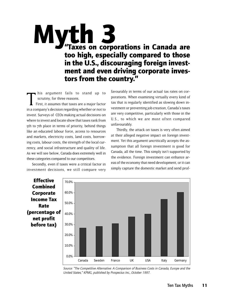# **Myth 3**<br>"Taxes on corporations in Canada are too high, especially compared to those in the U.S., discouraging foreign investment and even driving corporate investors from the country."

 $\prod_{\text{in a}}$ his argument fails to stand up to scrutiny, for three reasons.

 First, it assumes that taxes are a major factor in a company's decision regarding whether or not to invest. Surveys of CEOs making actual decisions on where to invest and locate show that taxes rank from 5th to 7th place in terms of priority, behind things like an educated labour force, access to resources and markets, electricity costs, land costs, borrowing costs, labour costs, the strength of the local currency, and social infrastructure and quality of life. As we will see below, Canada does extremely well in these categories compared to our competitors.

Secondly, even if taxes were a critical factor in investment decisions, we still compare very favourably in terms of our actual tax rates on corporations. When examining virtually every kind of tax that is regularly identified as slowing down investment or preventing job creation, Canada's taxes are very competitive, particularly with those in the U.S., to which we are most often compared unfavourably.

Thirdly, the attack on taxes is very often aimed at their alleged negative impact on foreign investment. Yet this argument uncritically accepts the assumption that all foreign investment is good for Canada, all the time. This simply isn't supported by the evidence. Foreign investment can enhance areas of the economy that need development, or it can simply capture the domestic market and send prof-



Source: "The Competitive Alternative: A Comparison of Business Costs in Canada, Europe and the United States," KPMG, published by Prospectus Inc., October 1997.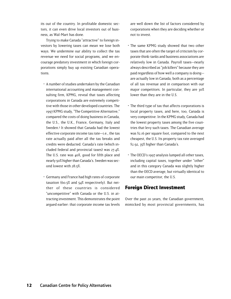its out of the country. In profitable domestic sectors, it can even drive local investors out of business, as Wal-Mart has done.

Trying to make Canada "attractive" to foreign investors by lowering taxes can mean we lose both ways. We undermine our ability to collect the tax revenue we need for social programs, and we encourage predatory investment in which foreign corporations simply buy up existing Canadian operations.

- A number of studies undertaken by the Canadian international accounting and management consulting firm, KPMG, reveal that taxes affecting corporations in Canada are extremely competitive with those in other developed countries. The 1997 KPMG study, "The Competitive Alternative," compared the costs of doing business in Canada, the U.S., the U.K., France, Germany, Italy and Sweden.<sup>5</sup> It showed that Canada had the lowest effective corporate income tax rate—i.e., the tax rate actually paid after all the tax breaks and credits were deducted. Canada's rate (which included federal and provincial taxes) was 27.4%. The U.S. rate was 40%, good for fifth place and nearly 50% higher than Canada's. Sweden was second lowest with 28.5%.
- Germany and France had high rates of corporate taxation (60.5% and 54% respectively). But neither of these countries is considered "uncompetitive" with Canada or the U.S. in attracting investment. This demonstrates the point argued earlier: that corporate income tax levels

are well down the list of factors considered by corporations when they are deciding whether or not to invest.

- The same KPMG study showed that two other taxes that are often the target of criticism by corporate think-tanks and business associations are relatively low in Canada. Payroll taxes—nearly always described as "job killers" because they are paid regardless of how well a company is doing are actually low in Canada, both as a percentage of all tax revenue and in comparison with our major competitors. In particular, they are 30% lower than they are in the U.S.
- The third type of tax that affects corporations is local property taxes, and here, too, Canada is very competitive. In the KPMG study, Canada had the lowest property taxes among the five countries that levy such taxes. The Canadian average was \$2.16 per square foot, compared to the next cheapest, the U.S. Its property tax rate averaged \$2.92, 35% higher than Canada's.
- The OECD's 1997 analysis lumped all other taxes, including capital taxes, together under "other" and in this category Canada was slightly higher than the OECD average, but virtually identical to our main competitor, the U.S.

### Foreign Direct Investment

Over the past 20 years, the Canadian government, mimicked by most provincial governments, has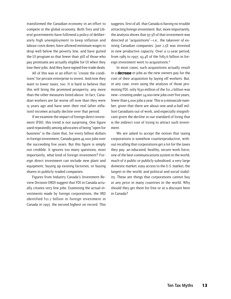transformed the Canadian economy in an effort to compete in the global economy. Both Tory and Liberal governments have followed a policy of deliberately high unemployment to keep inflation and labour costs down, have allowed minimum wages to drop well below the poverty line, and have gutted the UI program so that fewer than 36% of those who pay premiums are actually eligible for UI when they lose their jobs. And they have signed free trade deals.

All of this was in an effort to "create the conditions" for private enterprise to invest. And now they want to lower taxes, too. It is hard to believe that this will bring the promised prosperity, any more than the other measures listed above. In fact, Canadian workers are far worse off now than they were 15 years ago and have seen their real (after inflation) incomes actually decline over that period.

If we examine the impact of foreign direct investment (FDI), this trend is not surprising. One figure used repeatedly among advocates of being "open for business" is the claim that, for every billion dollars in foreign investment, Canada gains 45,000 jobs over the succeeding five years. But this figure is simply not credible. It ignores too many questions, most importantly, what kind of foreign investment? Foreign direct investment can include new plant and equipment, buying up existing factories, or buying shares in publicly-traded companies.

Figures from Industry Canada's Investment Review Division (IRD) suggest that FDI in Canada actually creates very few jobs. Examining the actual investments made by foreign corporations, the IRD identified \$21.2 billion in foreign investment in Canada in 1997, the second highest on record. This

suggests, first of all, that Canada is having no trouble attracting foreign investment. But, more importantly, the analysis shows that 97.5% of that investment was directed at "acquisitions"—i.e., the takeover of existing Canadian companies. Just 2.5% was invested in new productive capacity. Over a 12-year period, from 1985 to 1997, 93.4% of the \$183.6 billion in foreign investment went to acquisitions.<sup>6</sup>

In most cases, such acquisitions actually result in a **decrease** in jobs as the new owners pay for the cost of their acquisition by laying off workers. But, in any case, even using the analysis of those promoting FDI, only \$530 million of the \$21.2 billion was new—creating under 24,000 new jobs over five years, fewer than 5,000 jobs a year. This is a minuscule number, given that there are about one-and-a-half million Canadians out of work, and especially insignificant given the decline in our standard of living that is the indirect cost of trying to attract such investment.

We are asked to accept the notion that taxing corporations is somehow counterproductive, without recalling that corporations get a lot for the taxes they pay: an educated, healthy, secure work force; one of the best communications system in the world, much of it public or publicly subsidized; a very large domestic market; easy access to the U.S. market, the largest in the world; and political and social stability. These are things that corporations cannot buy at any price in many countries in the world. Why should they get them for free or at a discount here in Canada?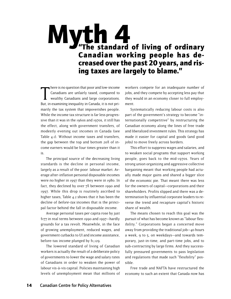# Myth 4 of living of ordinary Canadian working people has decreased over the past 20 years, and rising taxes are largely to blame."

There is no question that poor and low-income<br>Canadians are unfairly taxed, compared to<br>wealthy Canadians and large corporations.<br>But, in examining inequality in Canada, it is not prihere is no question that poor and low-income Canadians are unfairly taxed, compared to wealthy Canadians and large corporations. marily the tax system that impoverishes people. While the income tax structure is far less progressive than it was in the 1960s and 1970s, it still has the effect, along with government transfers, of modestly evening out incomes in Canada (see Table 4.1). Without income taxes and transfers, the gap between the top and bottom 20% of income earners would be four times greater than it is.

The principal source of the decreasing living standards is the decline in personal income, largely as a result of the poor labour market. Average after-inflation personal disposable incomes were no higher in 1997 than they were in 1980. In fact, they declined by over 7% between 1990 and 1997. While this drop is routinely ascribed to higher taxes, Table 4.2 shows that it has been the decline of before-tax incomes that is the principal factor behind the fall in disposable income.

Average personal taxes per capita rose by just \$177 in real terms between 1990 and 1997—hardly grounds for a tax revolt. Meanwhile, in the face of growing unemployment, reduced wages, and government cutbacks to UI and income assistance, before-tax income plunged by \$1,129.

The lowered standard of living of Canadian workers is actually the result of a deliberate policy of governments to lower the wage and salary rates of Canadians in order to weaken the power of labour vis-à-vis capital. Policies maintaining high levels of unemployment mean that millions of

workers compete for an inadequate number of jobs, and they compete by accepting less pay that they would in an economy closer to full employment.

Systematically reducing labour costs is also part of the government's strategy to become "internationally competitive" by restructuring the Canadian economy along the lines of free trade and liberalized investment rules. This strategy has made it easier for capital and goods (and good jobs) to move freely across borders.

This effort to suppress wages and salaries, and to weaken social programs that support working people, goes back to the mid-1970s. Years of strong union organizing and aggressive collective bargaining meant that working people had actually made major gains and shared a bigger slice of the economic pie. That meant there was less for the owners of capital—corporations and their shareholders. Profits slipped and there was a determination by influential corporate leaders to reverse the trend and recapture capital's historic share of wealth.

The means chosen to reach this goal was the pursuit of what has become known as "labour flexibility." Corporations began a concerted move away from providing the traditional job—40 hours a week, 9 to 5, on weekdays—and towards temporary, just-in-time, and part-time jobs, and to sub-contracting by large firms. And they successfully pressured governments to pass legislation and regulations that made such "flexibility" possible.

Free trade and NAFTA have restructured the economy to such an extent that Canada now has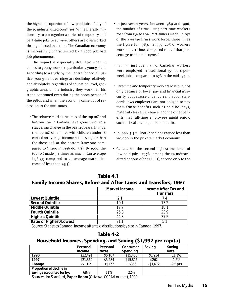the highest proportion of low-paid jobs of any of the 29 industrialized countries. While literally millions try to put together a series of temporary and part-time jobs to survive, others are overworked through forced overtime. The Canadian economy is increasingly characterized by a good job/bad job phenomenon.

The impact is especially dramatic when it comes to young workers, particularly young men. According to a study by the Centre for Social Justice, young men's earnings are declining relatively and absolutely, regardless of education level, geographic area, or the industry they work in. This trend continued even during the boom period of the 1980s and when the economy came out of recession in the min-1990s.

 • The relative market incomes of the top 10% and bottom 10% in Canada have gone through a staggering change in the past 25 years. In 1973, the top 10% of families with children under 18 earned an average income 21 times higher than the those 10% at the bottom (\$107,000 compared to  $\frac{1}{5}$ , 200 in 1996 dollars). By 1996, the top 10% made 314 times as much...(an average \$136,737 compared to an average market income of less than \$435).7

- In just seven years, between 1989 and 1996, the number of firms using part-time workers rose from 33% to 50%. Part-timers made up 29% of the average firm's work force, three times the figure for 1989. In 1997, 20% of workers worked part-time, compared to half that percentage in the mid-1970s. $8$
- In 1995, just over half of Canadian workers were employed in traditional 35-hours-perweek jobs, compared to 67% in the mid-1970s.
- Part-time and temporary workers lose out, not only because of lower pay and financial insecurity, but because under current labour standards laws employers are not obliged to pay them fringe benefits such as paid holidays, maternity leave, sick leave, and the other benefits that full-time employees might enjoy, such as health and pension benefits.
- In 1996, 5.4 million Canadians earned less than \$10,000 in the private market economy.
- Canada has the second highest incidence of low-paid jobs—23.7%—among the 29 industrialized nations of the OECD), second only to the

# Table 4.1 Family Income Shares, Before and After Taxes and Transfers, 1997

|                                | <b>Market Income</b> | <b>Income After Tax and</b><br><b>Transfers</b> |
|--------------------------------|----------------------|-------------------------------------------------|
| <b>Lowest Quintile</b>         | 21                   | 7.4                                             |
| <b>Second Quintile</b>         | 10.1                 | 13.2                                            |
| <b>Middle Quintile</b>         | 177                  | 18.1                                            |
| <b>Fourth Quintile</b>         | 25.8                 | 23.9                                            |
| <b>Highest Quintile</b>        | 44.3                 | 37.5                                            |
| <b>Ratio of Highest/Lowest</b> | 21.1                 | 5:1                                             |

*Source: Statistics Canada, Income after tax, distributions by size in Canada, 1997.*

| Table 4-2                                                    |  |
|--------------------------------------------------------------|--|
| Household Incomes, Spending, and Saving (\$1,992 per capita) |  |

|                           | Personal<br><b>Income</b> | Personal<br>taxes | Consumer<br>Spending | Saving    | Saving<br>Rate |
|---------------------------|---------------------------|-------------------|----------------------|-----------|----------------|
| 1990                      | \$22,491                  | \$5,107           | \$15,450             | \$1,934   | 11.1%          |
| 1997                      | \$21,362                  | \$5,284           | \$15,816             | \$262     | 1.6%           |
| Change                    | $-$1.129$                 | $+$ \$177         | $+$ \$366            | $-$1.672$ | $-9.5$ pts.    |
| Proportion of decline in  |                           |                   |                      |           |                |
| savings accounted for by: | 68%                       | 11%               | 22%                  |           |                |

*Source: Jim Stanford, Paper Boom (Ottawa: CCPA/Lorimer), 1999.*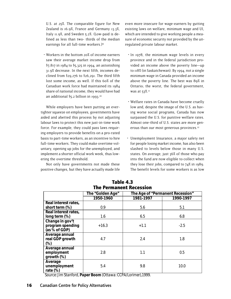U.S. at 25%. The comparable figure for New Zealand is 16.9%, France and Germany 13.3%, Italy 11.9%, and Sweden 5.2%. (Low-paid is defined as less than two- thirds of the median earnings for all full-time workers.)9

 • Workers in the bottom 20% of income earners saw their average market income drop from \$7,817 in 1984 to \$5,325 in 1994, an astonishing 31.9% decrease. In the next fifth, incomes declined from  $$29,276$  to  $$26,291$ . The third fifth lost some income, as well. If this 60% of the Canadian work force had maintained its 1984 share of national income, they would have had an additional \$5.2 billion in 1993.10

While employers have been putting an evertighter squeeze on employees, governments have aided and abetted this process by not adjusting labour laws to protect this new just-in-time work force. For example, they could pass laws requiring employers to provide benefits on a pro-rated basis to part-time workers, as an incentive to hire full-time workers. They could make overtime voluntary, opening up jobs for the unemployed, and implement a shorter official work week, thus lowering the overtime threshold.

Not only have governments not made these positive changes, but they have actually made life even more insecure for wage-earners by gutting existing laws on welfare, minimum wage and UI, which are intended to give working people a measure of economic security not provided by the unregulated private labour market.

- In 1978, the minimum wage levels in every province and in the federal jurisdiction provided an income above the poverty line—up to 118% (in Saskatchewan). By 1994, not a single minimum wage in Canada provided an income above the poverty line. The best was 89% in Ontario; the worst, the federal government, was at 53%.<sup>11</sup>
- Welfare rates in Canada have become cruelly low and, despite the image of the U.S. as having worse social programs, Canada has now surpassed the U.S. for punitive welfare rates. Almost one-third of U.S. states are more generous than our most generous provinces.12
- Unemployment Insurance, a major safety net for people losing market income, has also been slashed to levels below those in many U.S. states. On average, just 36% of those who pay into the fund are now eligible to collect when they lose their jobs, compared to 74% in 1989. The benefit levels for some workers is as low

|                      | The "Golden Age" |           | The Age of "Permanent Recession" |
|----------------------|------------------|-----------|----------------------------------|
|                      | 1950-1960        | 1981-1997 | 1990-1997                        |
| Real interest rates, |                  |           |                                  |
| short term (%)       | 0.9              | 5.6       | 5.1                              |
| Real interest rates, |                  |           |                                  |
| long term (%)        | 1.6              | 6.5       | 6.8                              |
| Change in gov't      |                  |           |                                  |
| program spending     | $+16.3$          | $+1.1$    | $-2.5$                           |
| (as % of GDP)        |                  |           |                                  |
| Average annual       |                  |           |                                  |
| real GDP growth      | 4.7              | 2.4       | 1.8                              |
| $(\%)$               |                  |           |                                  |
| Average annual       |                  |           |                                  |
| employment           | 2.8              | 1.1       | 0.5                              |
| growth (%)           |                  |           |                                  |
| Average              |                  |           |                                  |
| unemployment         | 5.4              | 9.8       | 10.0                             |
| rate $(\%)$          |                  |           |                                  |

Table 4.3 The Permanent Recession

*Source: Jim Stanford, Paper Boom (Ottawa: CCPA/Lorimer),1999.*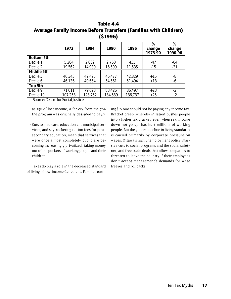# Table 4.4 Average Family Income Before Transfers (Families with Children) (\$1996)

|                   | 1973    | 1984    | 1990    | 1996    | $\overline{\%}$<br>change<br>1973-90 | $\overline{\%}$<br>change<br>1990-96 |
|-------------------|---------|---------|---------|---------|--------------------------------------|--------------------------------------|
| <b>Bottom 5th</b> |         |         |         |         |                                      |                                      |
| Decile 1          | 5,204   | 2,062   | 2,760   | 435     | $-47$                                | $-84$                                |
| Decile 2          | 19,562  | 14,930  | 16,599  | 11,535  | $-15$                                | $-31$                                |
| Middle 5th        |         |         |         |         |                                      |                                      |
| Decile 5          | 40,343  | 42,495  | 46,477  | 42,829  | $+15$                                | -8                                   |
| Decile 6          | 46,136  | 49,664  | 54,561  | 51,494  | $+18$                                | -6                                   |
| Top 5th           |         |         |         |         |                                      |                                      |
| Decile 9          | 71,611  | 79,628  | 88,426  | 86,497  | $+23$                                | $-2$                                 |
| Decile 10         | 107,253 | 123,752 | 134,539 | 136,737 | $+25$                                | $+2$                                 |

*Source: Centre for Social Justice*

as 25% of lost income, a far cry from the 70% the program was originally designed to pay.<sup>13</sup>

 • Cuts to medicare, education and municipal services, and sky-rocketing tuition fees for postsecondary education, mean that services that were once almost completely public are becoming increasingly privatized, taking money out of the pockets of working people and their children.

Taxes do play a role in the decreased standard of living of low-income Canadians. Families earning \$10,000 should not be paying any income tax. Bracket creep, whereby inflation pushes people into a higher tax bracket, even when real income down not go up, has hurt millions of working people. But the general decline in living standards is caused primarily by corporate pressure on wages, Ottawa's high unemployment policy, massive cuts to social programs and the social safety net, and free trade deals that allow companies to threaten to leave the country if their employees don't accept management's demands for wage freezes and rollbacks.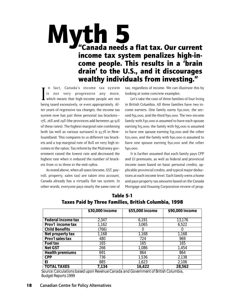# Myth 5<br>"Canada needs a flat tax. Our current income tax system penalizes high-income people. This results in a 'brain drain' to the U.S., and it discourages wealthy individuals from investing."

 $\prod_{\text{boir}}$ n fact, Canada's income tax system is not very progressive any more, which means that high-income people are not being taxed excessively, or even appropriately. After years of regressive tax changes, the income tax system now has just three personal tax brackets— 17%, 26% and 29% (the provinces add between 45-52% of these rates). The highest marginal rate combining both (as well as various surtaxes) is 53.7% in Newfoundland. This compares to 10 different tax brackets and a top marginal rate of 80% on very high incomes in the 1960s. Tax reform by the Mulroney government raised the lowest rate and decreased the highest rate when it reduced the number of brackets from 10 to three in the mid-1980s.

As noted above, when all taxes (income, GST, payroll, property, sales tax) are taken into account, Canada already has a virtually flat tax system. In other words, everyone pays nearly the same rate of tax, regardless of income. We can illustrate this by looking at some concrete examples.

Let's take the case of three families of four living in British Columbia. All three families have two income earners. One family earns \$30,000, the second \$55,000, and the third \$90,000. The two-income family with \$30,000 is assumed to have each spouse earning \$15,000; the family with \$55,000 is assumed to have one spouse earning \$35,000 and the other \$20,000; and the family with \$90,000 is assumed to have one spouse earning \$50,000 and the other \$40,000.

It is further assumed that each family pays CPP and UI premiums, as well as federal and provincial income taxes based on basic personal credits, applicable provincial credits, and typical major deductions at each income level. Each family owns a home and pays property tax amounts based on the Canada Mortgage and Housing Corporation review of prop-

|                           | \$30,000 income | \$55,000 income | \$90,000 income |
|---------------------------|-----------------|-----------------|-----------------|
|                           |                 |                 |                 |
| <b>Federal income tax</b> | 2,347           | 6,191           | 13,176          |
| Prov'l income tax         | 1,162           | 3,065           | 6,522           |
| <b>Child Benefits</b>     | (766)           |                 |                 |
| Net property tax          | 1,168           | 1,168           | 1,168           |
| Prov'l sales tax          | 480             | 724             | 969             |
| <b>Fuel tax</b>           | 165             | 165             | 165             |
| <b>Net GST</b>            | 266             | 1,086           | 1,454           |
| <b>Health premiums</b>    | 691             | 864             | 864             |
| CPP                       | 736             | 1,536           | 2,138           |
| ΕI                        | 885             | 1,623           | 2,106           |
| <b>TOTAL TAXES</b>        | 7,134           | 16,422          | 28,562          |

# Table 5-1 Taxes Paid by Three Families, British Columbia, 1998

*Source: Calculations based upon Revenue Canada and Government of British Columbia, Budget Reports 1999*

### 18 Canadian Centre for Policy Alternatives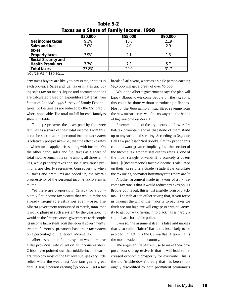|                        | \$30,000 | \$55,000 | \$90,000 |
|------------------------|----------|----------|----------|
| Net income taxes       | 9.1%     | 16.8     | 21.9     |
| Sales and fuel         | 3.0%     | 4.O      | ን ዓ      |
| taxes                  |          |          |          |
| <b>Property taxes</b>  | 3.9%     | 2.1      | 1.3      |
| Social Security and    |          |          |          |
| <b>Health Premiums</b> | 7.7%     | 7.3      | 5.7      |
| <b>Total taxes</b>     | 23.8%    | 29.9     | 31.7     |

# Table 5-2 Taxes as a Share of Family Income, 1998

*Source: As in Table 5.1.*

erty taxes buyers are likely to pay in major cities in each province. Sales and fuel tax estimates (including sales tax on meals, liquor and accommodation) are calculated based on expenditure patterns from Statistics Canada's 1996 Survey of Family Expenditures. GST estimates are reduced by the GST credit, where applicable. The total tax bill for each family is shown in Table 5.1.

Table 5.2 presents the taxes paid by the three families as a share of their total income. From this, it can be seen that the personal income tax system is relatively progressive—i.e., that the effective rates at which tax is applied rises along with income. On the other hand, sales and fuel taxes as a share of total income remain the same among all three families, while property taxes and social insurance premiums are clearly regressive. Consequently, when all taxes and premiums are added up, the overall progressivity of the personal income tax system is muted.

Yet there are proposals in Canada for a completely flat income tax system that would make an already inequitable situation even worse. The Alberta government announced in March, 1999, that it would phase in such a system by the year 2002. It would be the first provincial government to decouple its income tax system from the federal government's system. Currently, provinces base their tax system on a percentage of the federal income tax.

Alberta's planned flat tax system would impose a flat provincial rate of 11% on all income earners. Critics have pointed out that middle-income earners, who pay most of the tax revenue, get very little relief, while the wealthiest Albertans gain a great deal. A single person earning \$30,000 will get a tax break of \$16 a year, whereas a single person earning \$250,000 will get a break of over \$6,000.

While the Alberta government says the plan will knock 78,000 low-income people off the tax rolls, this could be done without introducing a flat tax. Most of the \$600 million in sacrificed revenue from the new tax structure will find its way into the hands of high-income earners.14

An examination of the arguments put forward by flat-tax promoters shows that none of them stand up to any sustained scrutiny. According to Osgoode Hall Law professor Neil Brooks, flat tax proponents claim to want greater simplicity, but the section of the Income Tax Act that sets out tax rates is "one of the most straightforward: it is scarcely a dozen lines...[O]nce someone's taxable income is calculated on their tax return, a Grade 3 student can calculate the tax owing, no matter how many rates there are."15

Another argument made in favour of a flat income tax rate is that it would reduce tax evasion. As Brooks points out, this is just a subtle form of blackmail. The rich are in effect saying that, if you force us through the will of the majority to pay taxes we think are too high, we will engage in criminal activity to get our way. Giving in to blackmail is hardly a sound basis for public policy.

Even so, the argument itself is false and implies that a so-called "fairer" flat tax is less likely to be avoided. In fact, it is the GST—a flat 7% tax—that is the most evaded in the country.

The argument flat-taxers use to make their proposal sound progressive is that it will lead to increased economic prosperity for everyone. This is the old "trickle-down" theory that has been thoroughly discredited by both prominent economists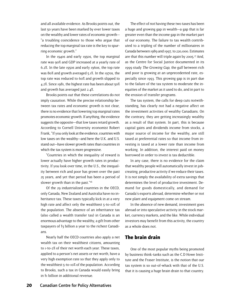and all available evidence. As Brooks points out, the last 50 years have been marked by ever lower taxes on the wealthy and lower rates of economic growth— "a troubling coincidence to those who argue that reducing the top marginal tax rate is the key to spurring economic growth."

In the 1940s and early 1950s, the top marginal rate was 90% and GDP increased at a yearly rate of 6.2%. In the late 1950s and early 1960s, the top rate was 80% and growth averaged 5.1%. In the 1970s, the top rate was reduced to 60% and growth slipped to 4.2%. Since 1981, the highest rate has been about 50% and growth has averaged just 2.4%.

Brooks points out that these correlations do not imply causation. While the precise relationship between tax rates and economic growth is not clear, there is no evidence that lowering top marginal rates promotes economic growth. If anything, the evidence suggests the opposite—that low taxes retard growth. According to Cornell University economist Robert Frank, "If you only look at the evidence, countries with low taxes on the wealthy—and here the U.K. and U.S. stand out—have slower growth rates than countries in which the tax system is more progressive.

"Countries in which the inequality of reward is lower actually have higher growth rates in productivity. If you look over time, in the U.S., the inequality between rich and poor has grown over the past 25 years, and yet that period has been a period of slower growth than in the past."<sup>16</sup>

Of the 29 industrialized countries in the OECD, only Canada, New Zealand and Australia have no inheritance tax. These taxes typically kick in at a very high rate and affect only the wealthiest 5-to-10% of the population. The absence of an inheritance tax (also called a wealth transfer tax) in Canada is an enormous advantage to the wealthy, a gift from other taxpayers of \$3 billion a year to the richest Canadians.

Nearly half the OECD countries also apply a net wealth tax on their wealthiest citizens, amounting to 1-to-2% of their net worth each year. These taxes, applied to a person's net assets or net worth, have a very high exemption rate so that they apply only to the wealthiest 5-to-10% of the population. According to Brooks, such a tax in Canada would easily bring in \$1 billion in additional revenue.

The effect of not having these two taxes has been a huge and growing gap in wealth—a gap that is far greater even than the income gap in the market part of our economy. The failure to tax wealth contributed to a tripling of the number of millionaires in Canada between 1989 and 1997, to 220,000. Estimates are that this number will triple again by 2005.17 And, as the Centre for Social Justice documented in its 1999 study The Growing Gap, the gulf between rich and poor is growing at an unprecedented rate, especially since 1993. This growing gap is in part due to the failure of the tax system to moderate the inequities of the market as it used to do, and in part to the erosion of transfer programs.

The tax system, the calls for deep cuts notwithstanding, has clearly not had a negative affect on the investment activities of wealthy Canadians. On the contrary, they are getting increasingly wealthy as a result of that system. In part, this is because capital gains and dividends income from stocks, a major source of income for the wealthy, are still taxed at preferential rates so that income from investing is taxed at a lower rate than income from working. In addition, the interest paid on money borrowed in order to invest is tax deductible.

In any case, there is no evidence for the claim that wealthy people will automatically invest in jobcreating, productive activity if we reduce their taxes. It is not simply the availability of extra savings that determines the level of productive investment. Demand for goods domestically, and demand for Canada's exports abroad, determine whether or not new plant and equipment come on stream.

In the absence of new demand, investment goes abroad or into speculative activity in the stock market, currency markets, and the like. While individual investors may benefit from this activity, the country as a whole does not.

### The brain drain

One of the most popular myths being promoted by business think-tanks such as the C.D Howe Institute and the Fraser Institute, is the notion that our tax system is so out-of-whack with that of the U.S. that it is causing a huge brain drain to that country.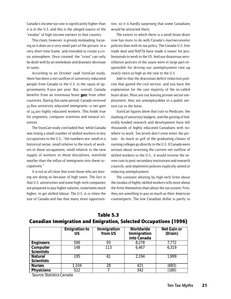Canada's income tax rate is significantly higher than it is in the U.S. and this is the alleged source of the "exodus" of high-income earners to that country.

This claim, however, is grossly misleading, focusing as it does on a very small part of the picture, in a very short time frame, and intended to create a crisis atmosphere. Once created, the "crisis" can only be dealt with by an immediate and dramatic decrease in taxes.

According to an October 1998 StatsCan study, there has been a net outflow of university-educated people from Canada to the U.S. in the 1990s of approximately 8,500 per year. But, overall, Canada benefits from an enormous brain gain from other countries. During this same period, Canada received 32,800 university educated immigrants—a net gain of 24,300 highly educated workers. This holds true for engineers, computer scientists and natural scientists.

The StatsCan study concluded that, while Canada was losing a small number of skilled workers in key occupations to the U.S., "the numbers are: small in a historical sense, small relative to the stock of workers in these occupations, small relative to the new supply of workers in these disciplines, manifold smaller than the influx of immigrants into these occupations."

It is not at all clear that even those who are leaving are doing so because of high taxes. The fact is that U.S. universities and some high-tech companies are prepared to pay higher salaries, sometimes much higher, to get skilled labour. The U.S. is 10 times the size of Canada and has that many more opportunities, so it is hardly surprising that some Canadians would be attracted there.

The extent to which there is a small brain drain now has more to do with Canada's macroeconomic policies than with its tax policy. The Canada-U.S. free trade deal and NAFTA have made it easier for professionals to work in the US. And our disastrous zeroinflation policies of the 1990s were in large part responsible for driving our unemployment rate up nearly twice as high as the rate in the U.S.

Add to that the draconian deficit reduction policies that gutted the civil service, and you have the explanation for the vast majority of the so-called brain drain. Most are not leaving private sector employment; they are unemployables in a public service cut to the bone.

StatsCan figures show that cuts to Medicare, the slashing of university budgets, and the gutting of federally-funded research and development have left thousands of highly educated Canadians with nowhere to work. Tax levels don't even enter the picture. As much as 40% of the graduating classes of nursing colleges go directly to the U.S. If Canada were serious about reversing the current net outflow of skilled workers to the U.S., it would reverse the severe cuts to post-secondary institutions and research councils, and implement policies explicitly aimed at reducing unemployment.

The constant whining by high-tech firms about the exodus of highly-skilled workers tells more about the firms themselves than about the tax system. First, they are unwilling to pay as much as their American counterparts. The low Canadian dollar is partly to

|                                           | <b>Emigration to</b><br>US | Immigration<br>from US | Worldwide<br>Immigration<br>into Canada | <b>Net Gain or</b><br>(Drain) |
|-------------------------------------------|----------------------------|------------------------|-----------------------------------------|-------------------------------|
| <b>Engineers</b>                          | 506                        | 93                     | 8,278                                   | 7,772                         |
| Computer<br><b>Scientists</b>             | 148                        | 113                    | 6,467                                   | 6,319                         |
| <b>Natural</b><br><b>Scientists</b>       | 195                        | 61                     | 2,194                                   | 1,999                         |
| <b>Nurses</b>                             | 1,104                      | 28                     | 421                                     | (683)                         |
| <b>Physicians</b><br>$\sim$ $\sim$ $\sim$ | 522<br>$\sim$              |                        | 342                                     | (180)                         |

# Table 5.3 Canadian Immigration and Emigration, Selected Occupations (1996)

*Source: Statistics Canada*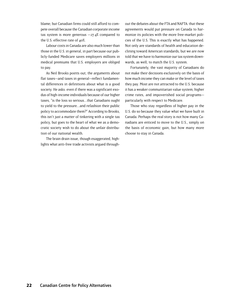blame; but Canadian firms could still afford to compete overall because the Canadian corporate income tax system is more generous  $-27.4\%$  compared to the U.S. effective rate of 40%.

Labour costs in Canada are also much lower than those in the U.S. in general, in part because our publicly-funded Medicare saves employers millions in medical premiums that U.S. employers are obliged to pay.

As Neil Brooks points out, the arguments about flat taxes—and taxes in general—reflect fundamental differences in definitions about what is a good society. He asks: even if there was a significant exodus of high-income individuals because of our higher taxes, "is the loss so serious...that Canadians ought to yield to the pressure...and refashion their public policy to accommodate them?" According to Brooks, this isn't just a matter of tinkering with a single tax policy, but goes to the heart of what we as a democratic society wish to do about the unfair distribution of our national wealth.

The brain drain issue, though exaggerated, highlights what anti-free trade activists argued throughout the debates about the FTA and NAFTA: that these agreements would put pressure on Canada to harmonize its policies with the more free-market policies of the U.S. This is exactly what has happened. Not only are standards of health and education declining toward American standards, but we are now told that we have to harmonize our tax system downwards, as well, to match the U.S. system.

Fortunately, the vast majority of Canadians do not make their decisions exclusively on the basis of how much income they can make or the level of taxes they pay. Most are not attracted to the U.S. because it has a weaker communitarian value system, higher crime rates, and impoverished social programs particularly with respect to Medicare.

Those who stay regardless of higher pay in the U.S. do so because they value what we have built in Canada. Perhaps the real story is not how many Canadians are enticed to move to the U.S., simply on the basis of economic gain, but how many more choose to stay in Canada.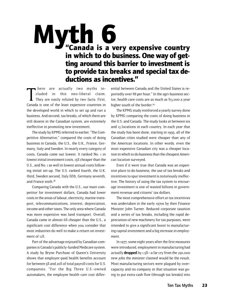# Myth 6<br>"Canada is a very expensive country" in which to do business. One way of getting around this barrier to investment is to provide tax breaks and special tax deductions as incentives."

here are actually two myths in-<br>cluded in this neo-liberal claim.<br>They are easily refuted by two facts: First,<br>Canada is one of the least expensive countries in here are actually two myths included in this neo-liberal claim. They are easily refuted by two facts: First, the developed world in which to set up and run a business. And second, tax breaks, of which there are still dozens in the Canadian system, are extremely ineffective in promoting new investment.

The study by KPMG referred to earlier, "The Competitive Alternative," compared the costs of doing business in Canada, the U.S., the U.K., France, Germany, Italy and Sweden. In nearly every category of costs, Canada came out lowest. It ranked No. 1 in lowest initial investment costs, 15% cheaper than the U.S., and No. 1 as well in lowest annual costs following initial set-up. The U.S. ranked fourth, the U.K. third, Sweden second, Italy fifth, Germany seventh, and France sixth.18

Comparing Canada with the U.S., our main competitor for investment dollars, Canada had lower costs in the areas of labour, electricity, marine transport, telecommunications, interest, depreciation, income and other taxes. The only area where Canada was more expensive was land transport. Overall, Canada came in almost 6% cheaper than the U.S., a significant cost difference when you consider that most industries do well to make a return on investment of 12%.

Part of the advantage enjoyed by Canadian companies is Canada's publicly-funded Medicare system. A study by Bryne Purchase of Queen's University shows that employer-paid health benefits account for between 5% and 20% of total payroll costs for U.S. companies. "For the Big Three U.S.-owned automakers, the employee health care cost differ-

ential between Canada and the United States is reportedly over \$8 per hour." In the agri-business sector, health care costs are as much as \$13,000 a year higher south of the border.<sup>19</sup>

The KPMG study reinforced a yearly survey done by KPMG comparing the costs of doing business in the U.S. and Canada. The study looks at between six and 13 locations in each country. In each year that the study has been done, starting in 1995, all of the Canadian cities studied were cheaper than any of the American locations. In other words, even the most expensive Canadian city was a cheaper location in which to do business than the cheapest American location surveyed.

Even if it were true that Canada was an expensive place to do business, the use of tax breaks and incentives to spur investment is notoriously ineffective. The history of using the tax system to encourage investment is one of wasted billions in government revenue and citizens' tax dollars.

The most comprehensive effort at tax incentives was undertaken in the early 1970s by then Finance Minister John Turner. Reduced corporate taxation and a series of tax breaks, including the rapid depreciation of new machinery for tax purposes, were intended to give a significant boost to manufacturing capital investment and a big increase in employment.

In 1977, some eight years after the first measures were introduced, employment in manufacturing had actually **dropped** by  $1.5\%$ —a far cry from the 250,000 new jobs the minister claimed would be the result. Most manufacturing sectors were plagued by overcapacity and no company in that situation was going to put extra cash flow (through tax breaks) into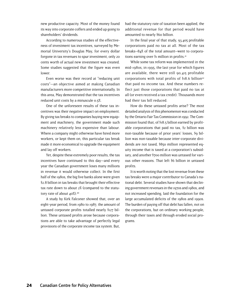new productive capacity. Most of the money found its way into corporate coffers and ended up going to shareholders' dividends.

According to numerous studies of the effectiveness of investment tax incentives, surveyed by Memorial University's Douglas May, for every dollar forgone in tax revenues to spur investment, only 20 cents worth of actual new investment was created. Some studies suggested that the figure was even lower.

Even worse was their record at "reducing unit costs"—an objective aimed at making Canadian manufacturers more competitive internationally. In this area, May demonstrated that the tax incentives reduced unit costs by a minuscule 0.5%.

One of the unforeseen results of these tax incentives was their negative impact on employment. By giving tax breaks to companies buying new equipment and machinery, the government made such machinery relatively less expensive than labour. Where a company might otherwise have hired more workers, or kept them on, this particular tax break made it more economical to upgrade the equipment and lay off workers.

Yet, despite these extremely poor results, the tax incentives have continued to this day—and every year the Canadian government loses many millions in revenue it would otherwise collect. In the first half of the 1980s, the big five banks alone were given \$2.8 billion in tax breaks that brought their effective tax rate down to about 2% (compared to the statutory rate of about 40%).<sup>20</sup>

A study by Kirk Falconer showed that, over an eight-year period, from 1980 to 1987, the amount of untaxed corporate profits totalled nearly \$127 billion. These untaxed profits arose because corporations are able to take advantage of perfectly legal provisions of the corporate income tax system. But, had the statutory rate of taxation been applied, the additional revenue for that period would have amounted to nearly \$60 billion.

In the final year of that study, 93,405 profitable corporations paid no tax at all. Most of the tax breaks–84% of the total amount–went to corporations earning over \$1 million in profits.21

While some tax reform was implemented in the mid-1980s, in 1995, the last year for which figures are available, there were still 90,415 profitable corporations with total profits of  $$18.6$  billion<sup>22</sup> that paid no income tax. And these numbers reflect just those corporations that paid no tax at all (or even received a tax credit). Thousands more had their tax bill reduced.

How do these untaxed profits arise? The most detailed analysis of this phenomenon was conducted by the Ontario Fair Tax Commission in 1992. The Commission found that, of \$18.5 billion earned by profitable corporations that paid no tax, \$2 billion was non-taxable because of prior years' losses, \$9 billion was non-taxable because inter-corporate dividends are not taxed, \$850 million represented equity income that is taxed at a corporation's subsidiary, and another \$700 million was untaxed for various other reasons. That left \$6 billion in untaxed profits.

It is worth noting that the lost revenue from these tax breaks were a major contributor to Canada's national debt. Several studies have shown that declining government revenues in the 1970s and 1980s, and not increased spending, laid the foundation for the large accumulated deficits of the 1980s and 1990s. The burden of paying off that debt has fallen, not on the corporations, but on ordinary working people, through their taxes and through eroded social programs.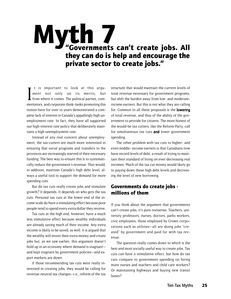# Myth 7<br>"Governments can't create jobs. All they can do is help and encourage the private sector to create jobs."

 $\prod_{\text{max}}$ t is important to look at this argument not only on its merits, but from where it comes. The political parties, commentators, and corporate think-tanks promoting this notion have for over 10 years demonstrated a complete lack of interest in Canada's appallingly high unemployment rate. In fact, they have all supported our high-interest rate policy that deliberately maintains a high unemployment rate.

Instead of any real concern about unemployment, the tax-cutters are much more interested in ensuring that social programs and transfers to the provinces are increasingly starved of their necessary funding. The best way to ensure this is to systematically reduce the government's revenue. That would, in addition, maintain Canada's high debt level, always a useful tool to support the demand for more spending cuts.

But do tax cuts really create jobs and stimulate growth? It depends. It depends on who gets the tax cuts. Personal tax cuts at the lower end of the income scale do have a stimulating effect because poor people tend to spend every extra dollar they receive.

Tax cuts at the high end, however, have a much less stimulative effect because wealthy individuals are already saving much of their income. Any extra income is likely to be saved, as well. It is argued that the wealthy will invest their extra money and create jobs but, as we saw earlier, this argument doesn't hold up in an economy where demand is stagnant and kept stagnant by government policies—and export markets are down.

If those recommending tax cuts were really interested in creating jobs, they would be calling for revenue-neutral tax changes—i.e., reform of the tax structure that would maintain the current levels of total revenue necessary for government programs, but shift the burden away from low- and moderateincome earners. But this is not what they are calling for. Common to all these proposals is the lowering of total revenue, and thus of the ability of the government to provide for citizens. The more honest of the would-be tax cutters, like the Reform Party, call for simultaneous tax cuts and lower government spending.

The other problem with tax cuts to higher- and even middle- income earners is that Canadians now have record levels of debt, a result of trying to maintain their standard of living on ever-decreasing real incomes. Much of the tax cut money would likely go to paying down these high debt levels and decreasing the level of new borrowing.

# Governments do create jobs millions of them

If you think about the argument that governments can't create jobs, it's pure nonsense. Teachers, university professors, nurses, doctors, parks workers, civic employees, those employed by Crown corporations such as utilities—all are doing jobs "created" by government and paid for with tax revenue.

The question really comes down to which is the best and most socially useful way to create jobs. Tax cuts can have a stimulative effect, but how do tax cuts compare to government spending on hiring more nurses and teachers and child care workers? Or maintaining highways and buying new transit buses?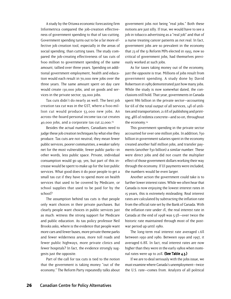A study by the Ottawa economic forecasting firm Informetrica compared the job-creation effectiveness of government spending to that of tax-cutting. Government spending turns out to be a far more effective job creation tool, especially in the areas of social spending, than cutting taxes. The study compared the job-creating effectiveness of tax cuts of \$100 million to government spending of the same amount, tallied over three years. Spending on additional government employment, health and education would each result in 70,000 new jobs over the three years. The same amount spent on day care would create 130,000 jobs, and on goods and services in the private sector, 59,000 jobs.

Tax cuts didn't do nearly as well. The best job creation tax cut was in the GST, where a \$100 million cut would produce 53,000 new jobs. An across-the-board personal income tax cut creates 40,000 jobs, and a corporate tax cut 22,000.23

Besides the actual numbers, Canadians need to judge these job creation techniques by what else they produce. Tax cuts are not neutral; they mean fewer public services, poorer communities, a weaker safety net for the most vulnerable, fewer public parks—in other words, less public space. Private, individual consumption would go up, yes, but part of this increase would be spent to make up for the lost public services. What good does it do poor people to get a small tax cut if they have to spend more on health services that used to be covered by Medicare, or school supplies that used to be paid for by the school?

The assumption behind tax cuts is that people only want choices in their private purchases. But clearly people want choices in public services just as much: witness the strong support for Medicare and public education. As tax policy professor Neil Brooks asks, where is the evidence that people want more cars and fewer buses, more private theme parks and fewer wilderness areas, more toll roads and fewer public highways, more private clinics and fewer hospitals? In fact, the evidence strongly suggests just the opposite.

Part of the call for tax cuts is tied to the notion that the government is taking money "out of the economy." The Reform Party repeatedly talks about government jobs not being "real jobs." Both these notions are just silly. If true, we would have to see a job in tobacco advertising as a "real job" and that of a nurse treating cancer patients as not real. In fact, government jobs are so prevalent in the economy that 23 of the 51 Reform MPs elected in 1993, now so critical of government jobs, had themselves previously worked at such jobs.

As for taxes taking money out of the economy, just the opposite is true. Millions of jobs result from government spending. A study done by David Robertson in 1985 demonstrated just how many jobs. While the study is now somewhat dated, the conclusions still hold. That year, governments in Canada spent \$86 billion in the private sector—accounting for 6% of the total output of all services, 14% of utilities and transportation; 21.6% of publishing and printing; 48% of redimix concrete—and so on, throughout the economy.24

This government spending in the private sector accounted for over one million jobs. In addition, \$30 billion in government salaries spent in the economy created another half million jobs, and transfer payments (another \$30 billion) a similar number. These were direct jobs and did not count the multiplier effect of those government dollars working their way through the economy. If UI payments were included, the numbers would be even larger.

Another action the government could take is to further lower interest rates. While we often hear that Canada is now enjoying the lowest interest rates in 15 years, this is extremely misleading. Real interest rates are calculated by subtracting the inflation rate from the official rate set by the Bank of Canada. With the inflation rate under 1%, the real interest rate in Canada at the end of 1998 was 5.5%—over twice the historic rate maintained through most of the postwar period up until 1980.

The long-term real interest rate averaged 1.6% between 1950 and 1980. Between 1990 and 1997, it averaged 6.8%. In fact, real interest rates are now higher than they were in the early 1980s when nominal rates were up to  $20\%$ . (See Table 4.3.)

If we are to deal seriously with the jobs issue, we must examine where Canada's unemployment—twice the U.S. rate—comes from. Analysts of all political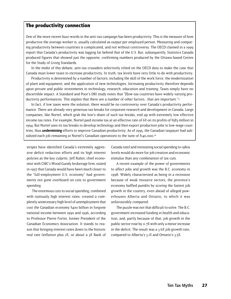### The productivity connection

One of the more recent buzz-words in the anti-tax campaign has been productivity. This is the measure of how productive the average worker is, usually calculated as output per employed person. Measuring and comparing productivity between countries is complicated, and not without controversy. The OECD claimed in a 1999 report that Canada's productivity was lagging far behind that of the U.S. But, subsequently, Statistics Canada produced figures that showed just the opposite, confirming numbers produced by the Ottawa-based Centre for the Study of Living Standards.

In the midst of this debate, anti-tax crusaders selectively relied on the OECD data to make the case that Canada must lower taxes to increase productivity. In truth, tax levels have very little to do with productivity.

Productivity is determined by a number of factors, including the skill of the work force, the modernization of plant and equipment, and the application of new technologies. Increasing productivity therefore depends upon private and public investments in technology, research, education and training. Taxes simply have no discernible impact. A Standard and Poor's DRI study notes that "[l]ow-tax countries have widely varying productivity performances. This implies that there are a number of other factors...that are important."<sup>22</sup>

In fact, if low taxes were the solution, there would be no controversy over Canada's productivity performance. There are already very generous tax breaks for corporate research and development in Canada. Large companies, like Nortel, which grab the lion's share of such tax breaks, end up with extremely low effective income tax rates. For example, Nortel paid income tax at an effective rate of 6% on its profits of \$583 million in 1994. But Nortel uses its tax breaks to develop technology and then export production jobs to low-wage countries, thus **undermining** efforts to improve Canadian productivity. As of 1995, the Canadian taxpayer had subsidized each job remaining at Nortel's Canadian operations to the tune of \$140,000.<sup>26</sup>

stripes have identified Canada's extremely aggressive deficit reduction efforts and its high interest policies as the key culprits. Jeff Rubin, chief economist with CIBC's Wood Gundy brokerage firm, stated in 1997 that Canada would have been much closer to the "full-employment U.S. economy" had governments not gone overboard on cuts to government spending.

The enormous cuts to social spending, combined with ruinously high interest rates, created a completely unnecessary high level of unemployment that cost the Canadian economy \$400 billion in forgone national income between 1990 and 1996, according to Professor Pierre Fortin, former President of the Canadian Economics Association. It stands to reason that bringing interest rates down to the historic real rate (inflation plus 2%, or about a 3% Bank of Canada rate) and reinstating social spending to 1980s levels would do more for job creation and economic stimulus than any combination of tax cuts.

A recent example of the power of governments to affect jobs and growth was the B.C. economy in 1998. Widely characterized as being in a recession because of weak resource sectors, the province's economy baffled pundits by scoring the fastest job growth in the country, even ahead of alleged powerhouses Alberta and Ontario, to which it was unfavourably compared.

The puzzle was not that difficult to solve. The B.C. government increased funding in health and education, and, partly because of that, job growth in the public sector rose by 11.7% with only a minor increase in the deficit. The result was a 3.6% job growth rate, compared to Alberta's 3.1% and Ontario's 3.5%.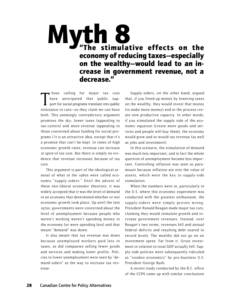# "The stimulative effects on the economy of reducing taxes—especially on the wealthy—would lead to an increase in government revenue, not a decrease." Myth 8

hose calling for major tax cuts<br>have anticipated that public sup-<br>port for social programs translate into public<br>resistance to cuts—so they claim we can have hose calling for major tax cuts have anticipated that public support for social programs translate into public both. This seemingly contradictory argument promises the sky: lower taxes (appealing to tax-cutters) and more revenue (appealing to those concerned about funding for social programs.) It is an attractive idea, except that it's a promise that can't be kept. In times of high economic growth rates, revenue can increase in spite of tax cuts. But there is simply no evidence that revenue increases because of tax cuts.

This argument is part of the ideological arsenal of what in the 1980s were called economic "supply-siders." Until the advent of these neo-liberal economic theorists, it was widely accepted that it was the level of demand in an economy that determined whether or not economic growth took place. Up until the late 1970s, governments were concerned about the level of unemployment because people who weren't working weren't spending money in the economy (or were spending less) and that meant "demand" was down.

It also meant that tax revenue was down because unemployed workers paid less in taxes, as did companies selling fewer goods and services and making lower profits. Policies to lower unemployment were seen by "demand-siders" as the way to increase tax revenue.

Supply-siders, on the other hand, argued that, if you freed up money by lowering taxes on the wealthy, they would invest that money (to make more money) and in the process create new productive capacity. In other words, if you stimulated the supply side of the economic equation (create more goods and services and people will buy them), the economy would grow and so would tax revenue (as well as jobs and investment).

In this scenario, the stimulation of demand was much less important, and in fact the whole question of unemployment became less important. Controlling inflation was seen as paramount because inflation ate into the value of assets, which were the key to supply-side stimulation.

When the numbers were in, particularly in the U.S. where this economic experiment was conducted with the greatest enthusiasm, the supply-siders were simply proven wrong. President Ronald Reagan made major tax cuts, claiming they would stimulate growth and increase government revenues. Instead, over Reagan's two terms, revenues fell and annual federal deficits and resulting debt soared to record levels. The wealthy did not go on an investment spree. Far from it. Gross investment in relation to total GDP actually fell. Supply-side policies were subsequently ridiculed as "voodoo economics" by pro-business U.S. President George Bush.

A recent study conducted by the B.C. office of the CCPA came up with similar conclusions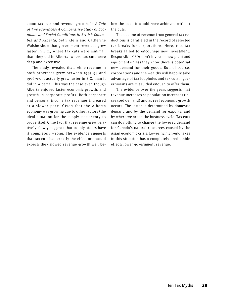about tax cuts and revenue growth. In A Tale of Two Provinces: A Comparative Study of Economic and Social Conditions in British Columbia and Alberta, Seth Klein and Catherine Walshe show that government revenues grew faster in B.C., where tax cuts were minimal, than they did in Alberta, where tax cuts were deep and extensive.

The study revealed that, while revenue in both provinces grew between 1993-94 and 1996-97, it actually grew faster in B.C. than it did in Alberta. This was the case even though Alberta enjoyed faster economic growth, and growth in corporate profits. Both corporate and personal income tax revenues increased at a slower pace. Given that the Alberta economy was growing due to other factors (the ideal situation for the supply-side theory to prove itself), the fact that revenue grew relatively slowly suggests that supply-siders have it completely wrong. The evidence suggests that tax cuts had exactly the effect one would expect: they slowed revenue growth well below the pace it would have achieved without the cuts.

The decline of revenue from general tax reductions is paralleled in the record of selected tax breaks for corporations. Here, too, tax breaks failed to encourage new investment. Responsible CEOs don't invest in new plant and equipment unless they know there is potential new demand for their goods. But, of course, corporations and the wealthy will happily take advantage of tax loopholes and tax cuts if governments are misguided enough to offer them.

The evidence over the years suggests that revenue increases as population increases (increased demand) and as real economic growth occurs. The latter is determined by domestic demand and by the demand for exports, and by where we are in the business cycle. Tax cuts can do nothing to change the lowered demand for Canada's natural resources caused by the Asian economic crisis. Lowering high-end taxes in this situation has a completely predictable effect: lower government revenue.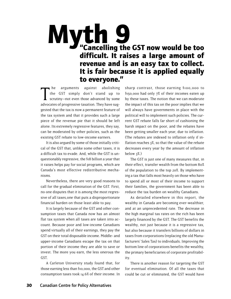# "Cancelling the GST now would be too difficult. It raises a large amount of revenue and is an easy tax to collect. It is fair because it is applied equally to everyone." Myth 9

he arguments against abolishing<br>the GST simply don't stand up to<br>scrutiny—not even those advanced by some<br>advocates of progressive taxation. They have sughe arguments against abolishing the GST simply don't stand up to scrutiny—not even those advanced by some gested that the tax is now a permanent feature of the tax system and that it provides such a large piece of the revenue pie that it should be left alone. Its extremely regressive features, they say, can be moderated by other policies, such as the existing GST rebate to low-income earners.

It is also argued by some of those initially critical of the GST that, unlike some other taxes, it is a difficult tax to evade. And, while the GST is unquestionably regressive, the \$18 billion a year that it raises helps pay for social programs, which are Canada's most effective redistributive mechanisms.

Nevertheless, there are very good reasons to call for the gradual elimination of the GST. First, no one disputes that it is among the most regressive of all taxes,one that puts a disproportionate financial burden on those least able to pay.

It is largely because of the GST and other consumption taxes that Canada now has an almost flat tax system when all taxes are taken into account. Because poor and low-income Canadians spend virtually all of their earnings, they pay the GST on their total disposable income. Middle- and upper-income Canadians escape the tax on that portion of their income they are able to save or invest. The more you earn, the less onerous the GST.

A Carleton University study found that, for those earning less than \$10,000, the GST and other consumption taxes took 14.6% of their income. In sharp contrast, those earning \$100,000 to \$150,000 had only 7% of their incomes eaten up by these taxes. The notion that we can moderate the impact of this tax on the poor implies that we will always have governments in place with the political will to implement such policies. The current GST rebate falls far short of cushioning the harsh impact on the poor, and the rebates have been getting smaller each year, due to inflation. (The rebates are indexed to inflation only if inflation reaches 3%, so that the value of the rebate decreases every year by the amount of inflation below 3%.)

The GST is just one of many measures that, in their effect, transfer wealth from the bottom 80% of the population to the top 20%. By implementing a tax that falls most heavily on those who have to spend all or most of their income to support their families, the government has been able to reduce the tax burden on wealthy Canadians.

As detailed elsewhere in this report, the wealthy in Canada are becoming ever-wealthier, and at an unprecedented rate. The decrease in the high marginal tax rates on the rich has been largely financed by the GST. The GST benefits the wealthy, not just because it is a regressive tax, but also because it transfers billions of dollars in taxes from corporations (replacing the old Manufacturers' Sales Tax) to individuals. Improving the bottom line of corporations benefits the wealthy, the primary beneficiaries of corporate profitability.

There is another reason for targeting the GST for eventual elimination. Of all the taxes that could be cut or eliminated, the GST would have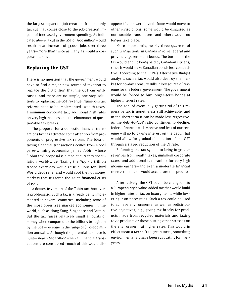the largest impact on job creation. It is the only tax cut that comes close to the job-creation impact of increased government spending. As indicated above, a cut in the GST of \$100 million would result in an increase of 53,000 jobs over three years—more than twice as many as would a corporate tax cut.

### Replacing the GST

There is no question that the government would have to find a major new source of taxation to replace the \$18 billion that the GST currently raises. And there are no simple, one-stop solutions to replacing the GST revenue. Numerous tax reforms need to be implemented—wealth taxes, a minimum corporate tax, additional high rates on very high incomes, and the elimination of questionable tax breaks.

The proposal for a domestic financial transactions tax has attracted some attention from proponents of progressive tax reform. The idea of taxing financial transactions comes from Nobel prize-winning economist James Tobin, whose "Tobin tax" proposal is aimed at currency speculation world-wide. Taxing the \$1.5 - 2 trillion traded every day would raise billions for Third World debt relief and would cool the hot money markets that triggered the Asian financial crisis of 1998.

A domestic version of the Tobin tax, however, is problematic. Such a tax is already being implemented in several countries, including some of the most open free market economies in the world, such as Hong Kong, Singapore and Britain. But the tax raises relatively small amounts of money when compared to the billions brought in by the GST—revenue in the range of \$150-200 million annually. Although the potential tax base is huge— nearly \$20 trillion when all financial transactions are considered—much of this would disappear if a tax were levied. Some would move to other jurisdictions, some would be disguised as non-taxable transactions, and others would no longer take place.

More importantly, nearly three-quarters of such transactions in Canada involve federal and provincial government bonds. The burden of the tax would end up being paid by Canadian citizens, since it would make Canadian bonds less competitive. According to the CCPA's Alternative Budget analysis, such a tax would also destroy the market for 90-day Treasury Bills, a key source of revenue for the federal government. The government would be forced to buy longer-term bonds at higher interest rates.

The goal of eventually getting rid of this regressive tax is nonetheless still achievable, and in the short term it can be made less regressive. As the debt-to-GDP ratio continues to decline, federal finances will improve and less of our revenue will go to paying interest on the debt. That would allow for gradual elimination of the GST through a staged reduction of the 7% rate.

Reforming the tax system to bring in greater revenues from wealth taxes, minimum corporate taxes, and additional tax brackets for very high income earners—and even a moderate financial transactions tax—would accelerate this process.

Alternatively, the GST could be changed into a European-style value-added tax that would build in higher rates of tax on luxury items, while lowering it on necessities. Such a tax could be used to achieve environmental as well as redistributive objectives, e.g., giving tax breaks for products made from recycled materials and taxing toxic products or those putting other stresses on the environment, at higher rates. This would in effect mean a tax shift to green taxes; something environmentalists have been advocating for many years.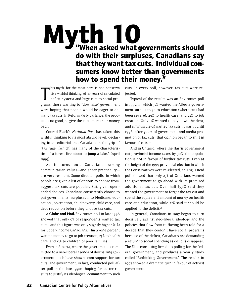# "When asked what governments should do with their surpluses, Canadians say that they want tax cuts. Individual consumers know better than governments how to spend their money." Myth 10

his myth, for the most part, is neo-conserva<br>tive wishful thinking. After years of calculated<br>deficit hysteria and huge cuts to social pro-<br>grams, those wanting to "downsize" government his myth, for the most part, is neo-conserva tive wishful thinking. After years of calculated deficit hysteria and huge cuts to social prowere hoping that people would be eager to demand tax cuts. In Reform Party parlance, the product is no good, so give the customers their money back.

Conrad Black's National Post has taken this wishful thinking to its most absurd level, declaring in an editorial that Canada is in the grip of "tax rage...[which] has many of the characteristics of a forest fire about to jump a lake." (April 1999).

As it turns out, Canadians' strong communitarian values—and sheer practicality are very resilient. Some directed polls, in which people are given a list of options to choose from, suggest tax cuts are popular. But, given openended choices, Canadians consistently choose to put governments' surpluses into Medicare, education, job creation, child poverty, child care, and debt reduction before they choose tax cuts.

A Globe and Mail/Environics poll in late 1996 showed that only 9% of respondents wanted tax cuts—and this figure was only slightly higher (11%) for upper-income Canadians. Thirty-one percent wanted money to go to job creation, 25% to health care, and 13% to children of poor families.

Even in Alberta, where the government is committed to a neo-liberal agenda of downsizing government, polls have shown scant support for tax cuts. The government, in fact, conducted poll after poll in the late 1990s, hoping for better results to justify its ideological commitment to such cuts. In every poll, however, tax cuts were rejected.

Typical of the results was an Environics poll in 1997, in which 37% wanted the Alberta government surplus to go to education (where cuts had been severe), 29% to health care, and 22% to job creation. Only 11% wanted to pay down the debt, and a minuscule 5% wanted tax cuts. It wasn't until 1998, after years of government and media promotion of tax cuts, that opinion began to shift in favour of cuts.<sup>27</sup>

And in Ontario, where the Harris government cut provincial income taxes by 30%, the population is not in favour of further tax cuts. Even at the height of the 1999 provincial election in which the Conservatives were re-elected, an Angus Reid poll showed that only 23% of Ontarians wanted the government to go ahead with its promised additional tax cut. Over half (53%) said they wanted the government to forget the tax cut and spend the equivalent amount of money on health care and education, while 22% said it should be applied to the deficit.<sup>28</sup>

In general, Canadians in 1997 began to turn decisively against neo-liberal ideology and the policies that flow from it. Having been told for a decade that they couldn't have social programs because of the deficit, Canadians are demanding a return to social spending as deficits disappear. The Ekos consulting firm does polling for the federal government, and produces a yearly study called "Rethinking Government." The results in 1997 showed a dramatic turn in favour of activist government.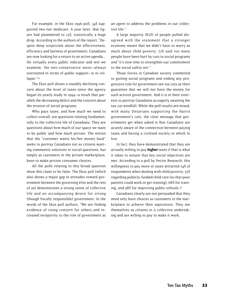For example, in the Ekos 1996 poll, 34% supported two-tier medicare. A year later, that figure had plummeted to 23%, statistically a huge drop. According to the authors of the report, "Despite deep scepticism about the effectiveness, efficiency and fairness of government, Canadians are now looking for a return to an active agenda... On virtually every public indicator and test we examine, the neo-conservative wave—always overstated in terms of public support—is in collapse."29

The Ekos poll shows a steadily declining concern about the level of taxes since the agency began its yearly study in 1994—a result that parallels the decreasing deficit and the concern about the erosion of social programs.

Who pays taxes, and how much we need to collect overall, are questions relating fundamentally to the collective life of Canadians. They are questions about how much of our space we want to be public and how much private. The notion that the "customer wants his/her money back" seeks to portray Canadians not as citizens wanting community solutions to social questions, but simply as customers in the private marketplace, keen to make private consumer choices.

All the polls relating to this broad question show this claim to be false. The Ekos poll (which also shows a major gap in attitudes toward government between the governing élite and the rest of us) demonstrates a strong sense of collective life and an accompanying desire for strong (though fiscally responsible) government. In the words of the Ekos poll authors, "We are finding evidence of rising concern for others and increased receptivity to the role of government as

an agent to address the problems in our collective life."

A large majority (82%) of people polled disagreed with the statement that a stronger economy meant that we didn't have to worry as much about child poverty; 72% said too many people have been hurt by cuts to social programs and "it's now time to strengthen our commitment to the social safety net."

Those forces in Canadian society committed to gutting social programs and ending any progressive role for government see tax cuts as their guarantee that we will not have the money for such activist government. And it is in their interests to portray Canadians as eagerly awaiting the tax-cut windfall. While the poll results are mixed, with many Ontarians supporting the Harris government's cuts, the clear message that governments get when asked is that Canadians are acutely aware of the connection between paying taxes and having a civilized society in which to live.

In fact, they have demonstrated that they are actually willing to pay higher taxes if that is what it takes to ensure that key social objectives are met. According to a poll by Vector Research, this willingness to pay more in taxes attracted 74% of respondents when dealing with child poverty; 57% regarding publicly-funded child care (so that poor parents could work or get training); 68% for training, and 58% for improving public schools.30

Canadians clearly are not persuaded that they need only have choices as customers in the marketplace to achieve their aspirations. They see themselves as citizens in a collective undertaking and are willing to pay to make it work.